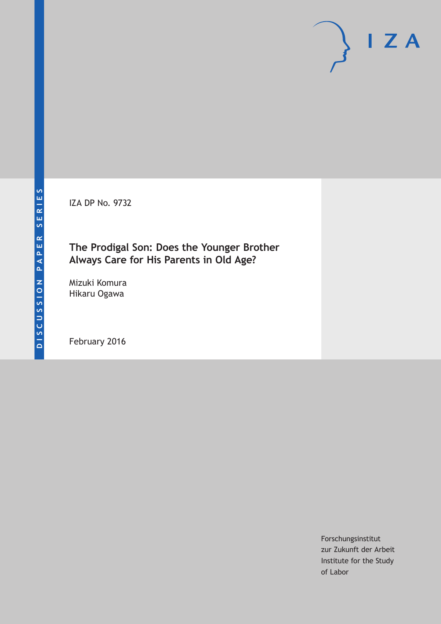IZA DP No. 9732

# **The Prodigal Son: Does the Younger Brother Always Care for His Parents in Old Age?**

Mizuki Komura Hikaru Ogawa

February 2016

Forschungsinstitut zur Zukunft der Arbeit Institute for the Study of Labor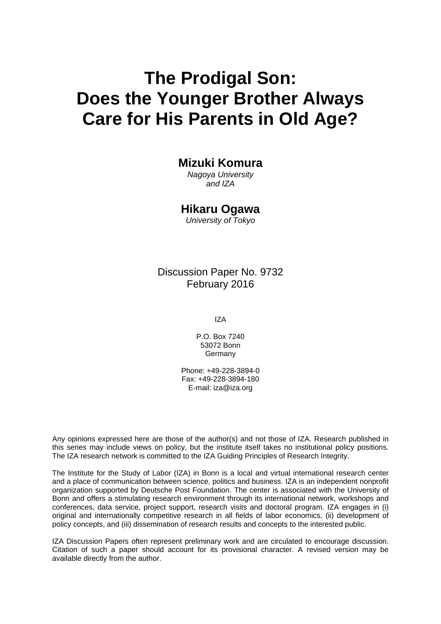# **The Prodigal Son: Does the Younger Brother Always Care for His Parents in Old Age?**

# **Mizuki Komura**

*Nagoya University and IZA* 

# **Hikaru Ogawa**

*University of Tokyo* 

Discussion Paper No. 9732 February 2016

IZA

P.O. Box 7240 53072 Bonn **Germany** 

Phone: +49-228-3894-0 Fax: +49-228-3894-180 E-mail: iza@iza.org

Any opinions expressed here are those of the author(s) and not those of IZA. Research published in this series may include views on policy, but the institute itself takes no institutional policy positions. The IZA research network is committed to the IZA Guiding Principles of Research Integrity.

The Institute for the Study of Labor (IZA) in Bonn is a local and virtual international research center and a place of communication between science, politics and business. IZA is an independent nonprofit organization supported by Deutsche Post Foundation. The center is associated with the University of Bonn and offers a stimulating research environment through its international network, workshops and conferences, data service, project support, research visits and doctoral program. IZA engages in (i) original and internationally competitive research in all fields of labor economics, (ii) development of policy concepts, and (iii) dissemination of research results and concepts to the interested public.

IZA Discussion Papers often represent preliminary work and are circulated to encourage discussion. Citation of such a paper should account for its provisional character. A revised version may be available directly from the author.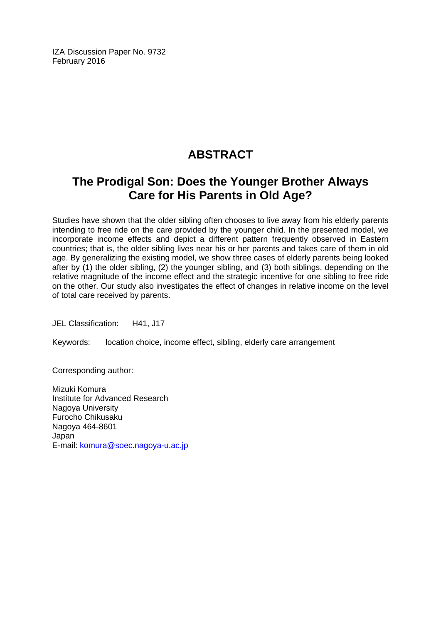IZA Discussion Paper No. 9732 February 2016

# **ABSTRACT**

# **The Prodigal Son: Does the Younger Brother Always Care for His Parents in Old Age?**

Studies have shown that the older sibling often chooses to live away from his elderly parents intending to free ride on the care provided by the younger child. In the presented model, we incorporate income effects and depict a different pattern frequently observed in Eastern countries; that is, the older sibling lives near his or her parents and takes care of them in old age. By generalizing the existing model, we show three cases of elderly parents being looked after by (1) the older sibling, (2) the younger sibling, and (3) both siblings, depending on the relative magnitude of the income effect and the strategic incentive for one sibling to free ride on the other. Our study also investigates the effect of changes in relative income on the level of total care received by parents.

JEL Classification: H41, J17

Keywords: location choice, income effect, sibling, elderly care arrangement

Corresponding author:

Mizuki Komura Institute for Advanced Research Nagoya University Furocho Chikusaku Nagoya 464-8601 Japan E-mail: komura@soec.nagoya-u.ac.jp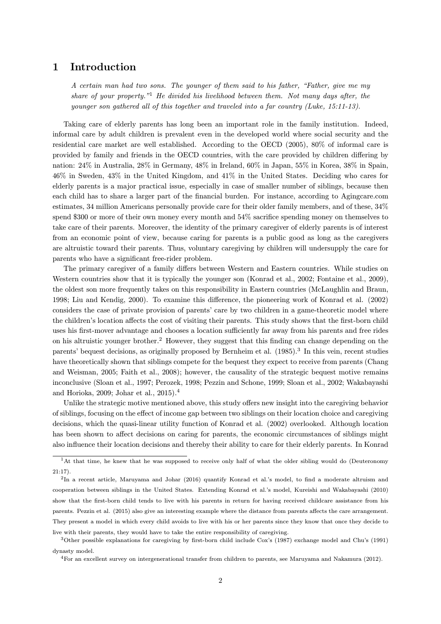## 1 Introduction

A certain man had two sons. The younger of them said to his father, "Father, give me my share of your property."<sup>1</sup> He divided his livelihood between them. Not many days after, the younger son gathered all of this together and traveled into a far country (Luke, 15:11-13).

Taking care of elderly parents has long been an important role in the family institution. Indeed, informal care by adult children is prevalent even in the developed world where social security and the residential care market are well established. According to the OECD (2005), 80% of informal care is provided by family and friends in the OECD countries, with the care provided by children differing by nation: 24% in Australia, 28% in Germany, 48% in Ireland, 60% in Japan, 55% in Korea, 38% in Spain, 46% in Sweden, 43% in the United Kingdom, and 41% in the United States. Deciding who cares for elderly parents is a major practical issue, especially in case of smaller number of siblings, because then each child has to share a larger part of the financial burden. For instance, according to Agingcare.com estimates, 34 million Americans personally provide care for their older family members, and of these, 34% spend  $$300$  or more of their own money every month and  $54\%$  sacrifice spending money on themselves to take care of their parents. Moreover, the identity of the primary caregiver of elderly parents is of interest from an economic point of view, because caring for parents is a public good as long as the caregivers are altruistic toward their parents. Thus, voluntary caregiving by children will undersupply the care for parents who have a significant free-rider problem.

The primary caregiver of a family differs between Western and Eastern countries. While studies on Western countries show that it is typically the younger son (Konrad et al., 2002; Fontaine et al., 2009), the oldest son more frequently takes on this responsibility in Eastern countries (McLaughlin and Braun, 1998; Liu and Kendig, 2000). To examine this difference, the pioneering work of Konrad et al. (2002) considers the case of private provision of parents' care by two children in a game-theoretic model where the children's location affects the cost of visiting their parents. This study shows that the first-born child uses his first-mover advantage and chooses a location sufficiently far away from his parents and free rides on his altruistic younger brother.<sup>2</sup> However, they suggest that this finding can change depending on the parents' bequest decisions, as originally proposed by Bernheim et al. (1985). <sup>3</sup> In this vein, recent studies have theoretically shown that siblings compete for the bequest they expect to receive from parents (Chang and Weisman, 2005; Faith et al., 2008); however, the causality of the strategic bequest motive remains inconclusive (Sloan et al., 1997; Perozek, 1998; Pezzin and Schone, 1999; Sloan et al., 2002; Wakabayashi and Horioka, 2009; Johar et al., 2015). 4

Unlike the strategic motive mentioned above, this study offers new insight into the caregiving behavior of siblings, focusing on the effect of income gap between two siblings on their location choice and caregiving decisions, which the quasi-linear utility function of Konrad et al. (2002) overlooked. Although location has been shown to affect decisions on caring for parents, the economic circumstances of siblings might also influence their location decisions and thereby their ability to care for their elderly parents. In Konrad

live with their parents, they would have to take the entire responsibility of caregiving.

<sup>&</sup>lt;sup>1</sup>At that time, he knew that he was supposed to receive only half of what the older sibling would do (Deuteronomy 21:17).

<sup>&</sup>lt;sup>2</sup>In a recent article, Maruyama and Johar (2016) quantify Konrad et al.'s model, to find a moderate altruism and cooperation between siblings in the United States. Extending Konrad et al.'s model, Kureishi and Wakabayashi (2010) show that the first-born child tends to live with his parents in return for having received childcare assistance from his parents. Pezzin et al. (2015) also give an interesting example where the distance from parents affects the care arrangement. They present a model in which every child avoids to live with his or her parents since they know that once they decide to

 $3$ Other possible explanations for caregiving by first-born child include Cox's (1987) exchange model and Chu's (1991) dynasty model.

<sup>4</sup>For an excellent survey on intergenerational transfer from children to parents, see Maruyama and Nakamura (2012).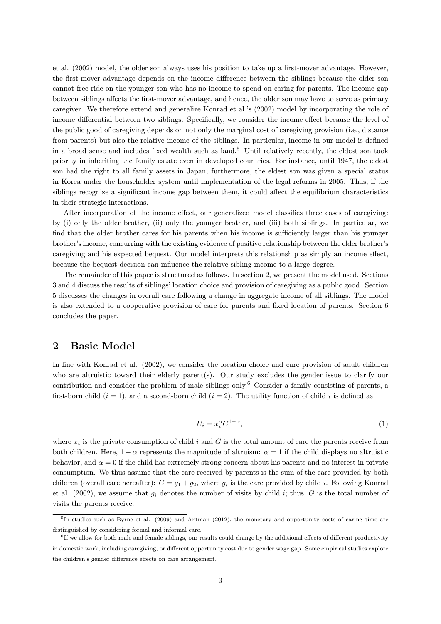et al. (2002) model, the older son always uses his position to take up a first-mover advantage. However, the first-mover advantage depends on the income difference between the siblings because the older son cannot free ride on the younger son who has no income to spend on caring for parents. The income gap between siblings affects the first-mover advantage, and hence, the older son may have to serve as primary caregiver. We therefore extend and generalize Konrad et al.'s (2002) model by incorporating the role of income differential between two siblings. Specifically, we consider the income effect because the level of the public good of caregiving depends on not only the marginal cost of caregiving provision (i.e., distance from parents) but also the relative income of the siblings. In particular, income in our model is defined in a broad sense and includes fixed wealth such as land.<sup>5</sup> Until relatively recently, the eldest son took priority in inheriting the family estate even in developed countries. For instance, until 1947, the eldest son had the right to all family assets in Japan; furthermore, the eldest son was given a special status in Korea under the householder system until implementation of the legal reforms in 2005. Thus, if the siblings recognize a significant income gap between them, it could affect the equilibrium characteristics in their strategic interactions.

After incorporation of the income effect, our generalized model classifies three cases of caregiving: by (i) only the older brother, (ii) only the younger brother, and (iii) both siblings. In particular, we find that the older brother cares for his parents when his income is sufficiently larger than his younger brother's income, concurring with the existing evidence of positive relationship between the elder brother's caregiving and his expected bequest. Our model interprets this relationship as simply an income effect, because the bequest decision can influence the relative sibling income to a large degree.

The remainder of this paper is structured as follows. In section 2, we present the model used. Sections 3 and 4 discuss the results of siblings' location choice and provision of caregiving as a public good. Section 5 discusses the changes in overall care following a change in aggregate income of all siblings. The model is also extended to a cooperative provision of care for parents and fixed location of parents. Section 6 concludes the paper.

# 2 Basic Model

In line with Konrad et al. (2002), we consider the location choice and care provision of adult children who are altruistic toward their elderly parent(s). Our study excludes the gender issue to clarify our contribution and consider the problem of male siblings only. <sup>6</sup> Consider a family consisting of parents, a first-born child  $(i = 1)$ , and a second-born child  $(i = 2)$ . The utility function of child i is defined as

$$
U_i = x_i^{\alpha} G^{1-\alpha},\tag{1}
$$

where  $x_i$  is the private consumption of child i and G is the total amount of care the parents receive from both children. Here,  $1 - \alpha$  represents the magnitude of altruism:  $\alpha = 1$  if the child displays no altruistic behavior, and  $\alpha = 0$  if the child has extremely strong concern about his parents and no interest in private consumption. We thus assume that the care received by parents is the sum of the care provided by both children (overall care hereafter):  $G = g_1 + g_2$ , where  $g_i$  is the care provided by child *i*. Following Konrad et al. (2002), we assume that  $g_i$  denotes the number of visits by child i; thus, G is the total number of visits the parents receive.

<sup>&</sup>lt;sup>5</sup>In studies such as Byrne et al. (2009) and Antman (2012), the monetary and opportunity costs of caring time are distinguished by considering formal and informal care.

 $6$ If we allow for both male and female siblings, our results could change by the additional effects of different productivity in domestic work, including caregiving, or different opportunity cost due to gender wage gap. Some empirical studies explore the children's gender difference effects on care arrangement.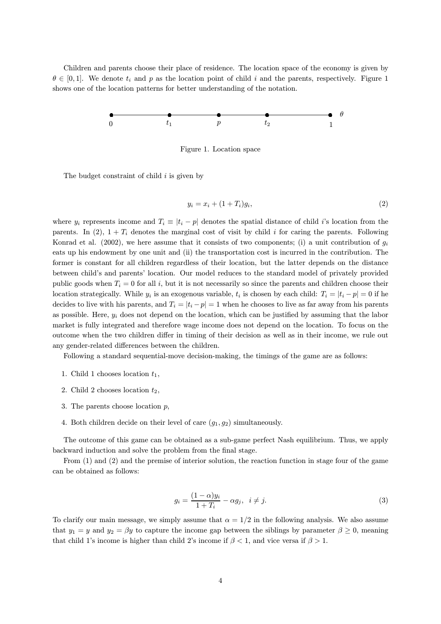Children and parents choose their place of residence. The location space of the economy is given by  $\theta \in [0, 1]$ . We denote  $t_i$  and p as the location point of child i and the parents, respectively. Figure 1 shows one of the location patterns for better understanding of the notation.



Figure 1. Location space

The budget constraint of child  $i$  is given by

$$
y_i = x_i + (1 + T_i)g_i,\tag{2}
$$

where  $y_i$  represents income and  $T_i \equiv |t_i - p|$  denotes the spatial distance of child i's location from the parents. In (2),  $1 + T_i$  denotes the marginal cost of visit by child i for caring the parents. Following Konrad et al. (2002), we here assume that it consists of two components; (i) a unit contribution of  $g_i$ eats up his endowment by one unit and (ii) the transportation cost is incurred in the contribution. The former is constant for all children regardless of their location, but the latter depends on the distance between child's and parents' location. Our model reduces to the standard model of privately provided public goods when  $T_i = 0$  for all i, but it is not necessarily so since the parents and children choose their location strategically. While  $y_i$  is an exogenous variable,  $t_i$  is chosen by each child:  $T_i = |t_i - p| = 0$  if he decides to live with his parents, and  $T_i = |t_i - p| = 1$  when he chooses to live as far away from his parents as possible. Here,  $y_i$  does not depend on the location, which can be justified by assuming that the labor market is fully integrated and therefore wage income does not depend on the location. To focus on the outcome when the two children differ in timing of their decision as well as in their income, we rule out any gender-related differences between the children.

Following a standard sequential-move decision-making, the timings of the game are as follows:

- 1. Child 1 chooses location  $t_1$ ,
- 2. Child 2 chooses location  $t_2$ ,
- 3. The parents choose location  $p$ ,
- 4. Both children decide on their level of care  $(g_1, g_2)$  simultaneously.

The outcome of this game can be obtained as a sub-game perfect Nash equilibrium. Thus, we apply backward induction and solve the problem from the final stage.

From (1) and (2) and the premise of interior solution, the reaction function in stage four of the game can be obtained as follows:

$$
g_i = \frac{(1 - \alpha)y_i}{1 + T_i} - \alpha g_j, \ \ i \neq j. \tag{3}
$$

To clarify our main message, we simply assume that  $\alpha = 1/2$  in the following analysis. We also assume that  $y_1 = y$  and  $y_2 = \beta y$  to capture the income gap between the siblings by parameter  $\beta \geq 0$ , meaning that child 1's income is higher than child 2's income if  $\beta < 1$ , and vice versa if  $\beta > 1$ .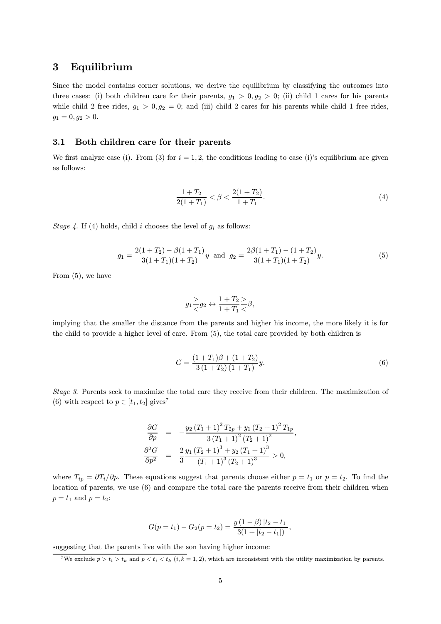### 3 Equilibrium

Since the model contains corner solutions, we derive the equilibrium by classifying the outcomes into three cases: (i) both children care for their parents,  $g_1 > 0, g_2 > 0$ ; (ii) child 1 cares for his parents while child 2 free rides,  $g_1 > 0, g_2 = 0$ ; and (iii) child 2 cares for his parents while child 1 free rides,  $g_1 = 0, g_2 > 0.$ 

#### 3.1 Both children care for their parents

We first analyze case (i). From (3) for  $i = 1, 2$ , the conditions leading to case (i)'s equilibrium are given as follows:

$$
\frac{1+T_2}{2(1+T_1)} < \beta < \frac{2(1+T_2)}{1+T_1}.\tag{4}
$$

Stage 4. If (4) holds, child i chooses the level of  $g_i$  as follows:

$$
g_1 = \frac{2(1+T_2) - \beta(1+T_1)}{3(1+T_1)(1+T_2)}y \text{ and } g_2 = \frac{2\beta(1+T_1) - (1+T_2)}{3(1+T_1)(1+T_2)}y.
$$
 (5)

From (5), we have

$$
g_1 \frac{>}{<} g_2 \leftrightarrow \frac{1+T_2>}{1+T_1<} \beta,
$$

implying that the smaller the distance from the parents and higher his income, the more likely it is for the child to provide a higher level of care. From (5), the total care provided by both children is

$$
G = \frac{(1+T_1)\beta + (1+T_2)}{3(1+T_2)(1+T_1)}y.
$$
\n
$$
(6)
$$

Stage 3. Parents seek to maximize the total care they receive from their children. The maximization of (6) with respect to  $p \in [t_1, t_2]$  gives<sup>7</sup>

$$
\begin{aligned}\n\frac{\partial G}{\partial p} &= -\frac{y_2 \left(T_1 + 1\right)^2 T_{2p} + y_1 \left(T_2 + 1\right)^2 T_{1p}}{3 \left(T_1 + 1\right)^2 \left(T_2 + 1\right)^2}, \\
\frac{\partial^2 G}{\partial p^2} &= \frac{2}{3} \frac{y_1 \left(T_2 + 1\right)^3 + y_2 \left(T_1 + 1\right)^3}{\left(T_1 + 1\right)^3 \left(T_2 + 1\right)^3} > 0,\n\end{aligned}
$$

where  $T_{ip} = \partial T_i/\partial p$ . These equations suggest that parents choose either  $p = t_1$  or  $p = t_2$ . To find the location of parents, we use (6) and compare the total care the parents receive from their children when  $p = t_1$  and  $p = t_2$ :

$$
G(p = t1) - G2(p = t2) = \frac{y(1 - \beta) |t2 - t1|}{3(1 + |t2 - t1|)},
$$

suggesting that the parents live with the son having higher income:

<sup>7</sup>We exclude  $p > t_i > t_k$  and  $p < t_i < t_k$  (i, k = 1, 2), which are inconsistent with the utility maximization by parents.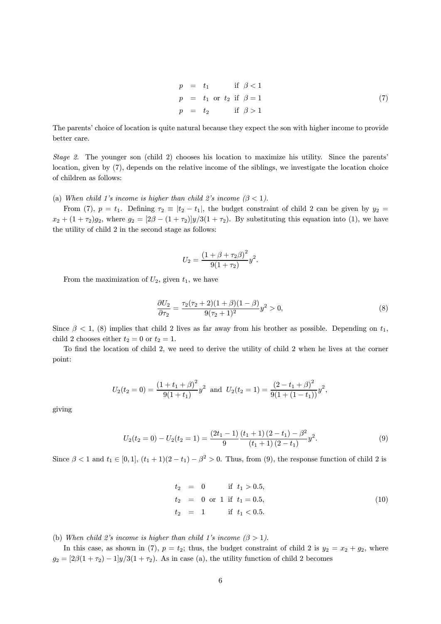$$
p = t1 \text{ if } \beta < 1
$$
  
\n
$$
p = t1 \text{ or } t2 \text{ if } \beta = 1
$$
  
\n
$$
p = t2 \text{ if } \beta > 1
$$
\n(7)

The parents' choice of location is quite natural because they expect the son with higher income to provide better care.

Stage 2. The younger son (child 2) chooses his location to maximize his utility. Since the parents' location, given by (7), depends on the relative income of the siblings, we investigate the location choice of children as follows:

(a) When child 1's income is higher than child 2's income  $(\beta < 1)$ .

From (7),  $p = t_1$ . Defining  $\tau_2 \equiv |t_2 - t_1|$ , the budget constraint of child 2 can be given by  $y_2 =$  $x_2 + (1 + \tau_2)g_2$ , where  $g_2 = [2\beta - (1 + \tau_2)]y/3(1 + \tau_2)$ . By substituting this equation into (1), we have the utility of child 2 in the second stage as follows:

$$
U_2 = \frac{(1 + \beta + \tau_2 \beta)^2}{9(1 + \tau_2)} y^2.
$$

From the maximization of  $U_2$ , given  $t_1$ , we have

$$
\frac{\partial U_2}{\partial \tau_2} = \frac{\tau_2(\tau_2 + 2)(1 + \beta)(1 - \beta)}{9(\tau_2 + 1)^2} y^2 > 0,
$$
\n(8)

Since  $\beta$  < 1, (8) implies that child 2 lives as far away from his brother as possible. Depending on  $t_1$ , child 2 chooses either  $t_2 = 0$  or  $t_2 = 1$ .

To find the location of child 2, we need to derive the utility of child 2 when he lives at the corner point:

$$
U_2(t_2 = 0) = \frac{(1 + t_1 + \beta)^2}{9(1 + t_1)} y^2
$$
 and  $U_2(t_2 = 1) = \frac{(2 - t_1 + \beta)^2}{9(1 + (1 - t_1))} y^2$ ,

giving

$$
U_2(t_2 = 0) - U_2(t_2 = 1) = \frac{(2t_1 - 1)}{9} \frac{(t_1 + 1)(2 - t_1) - \beta^2}{(t_1 + 1)(2 - t_1)} y^2.
$$
\n(9)

Since  $\beta < 1$  and  $t_1 \in [0, 1]$ ,  $(t_1 + 1)(2 - t_1) - \beta^2 > 0$ . Thus, from (9), the response function of child 2 is

t<sup>2</sup> = 0 if t<sup>1</sup> > 0:5; t<sup>2</sup> = 0 or 1 if t<sup>1</sup> = 0:5; (10) t<sup>2</sup> = 1 if t<sup>1</sup> < 0:5:

(b) When child 2's income is higher than child 1's income  $(\beta > 1)$ .

In this case, as shown in (7),  $p = t_2$ ; thus, the budget constraint of child 2 is  $y_2 = x_2 + g_2$ , where  $g_2 = \left[\frac{2\beta(1 + \tau_2) - 1\right]y/3(1 + \tau_2)}{s}$ . As in case (a), the utility function of child 2 becomes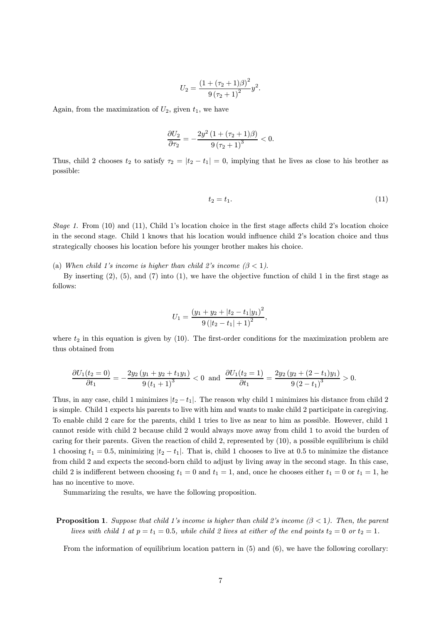$$
U_2 = \frac{(1 + (\tau_2 + 1)\beta)^2}{9(\tau_2 + 1)^2}y^2.
$$

Again, from the maximization of  $U_2$ , given  $t_1$ , we have

$$
\frac{\partial U_2}{\partial \tau_2} = -\frac{2y^2\left(1 + (\tau_2 + 1)\beta\right)}{9\left(\tau_2 + 1\right)^3} < 0.
$$

Thus, child 2 chooses  $t_2$  to satisfy  $\tau_2 = |t_2 - t_1| = 0$ , implying that he lives as close to his brother as possible:

$$
t_2 = t_1. \tag{11}
$$

Stage 1. From  $(10)$  and  $(11)$ , Child 1's location choice in the first stage affects child 2's location choice in the second stage. Child 1 knows that his location would influence child 2's location choice and thus strategically chooses his location before his younger brother makes his choice.

(a) When child 1's income is higher than child 2's income  $(\beta < 1)$ .

By inserting  $(2)$ ,  $(5)$ , and  $(7)$  into  $(1)$ , we have the objective function of child 1 in the first stage as follows:

$$
U_1 = \frac{(y_1 + y_2 + |t_2 - t_1|y_1)^2}{9(|t_2 - t_1| + 1)^2},
$$

where  $t_2$  in this equation is given by (10). The first-order conditions for the maximization problem are thus obtained from

$$
\frac{\partial U_1(t_2=0)}{\partial t_1}=-\frac{2y_2(y_1+y_2+t_1y_1)}{9(t_1+1)^3}<0 \text{ and } \frac{\partial U_1(t_2=1)}{\partial t_1}=\frac{2y_2(y_2+(2-t_1)y_1)}{9(2-t_1)^3}>0.
$$

Thus, in any case, child 1 minimizes  $|t_2 - t_1|$ . The reason why child 1 minimizes his distance from child 2 is simple. Child 1 expects his parents to live with him and wants to make child 2 participate in caregiving. To enable child 2 care for the parents, child 1 tries to live as near to him as possible. However, child 1 cannot reside with child 2 because child 2 would always move away from child 1 to avoid the burden of caring for their parents. Given the reaction of child 2, represented by (10), a possible equilibrium is child 1 choosing  $t_1 = 0.5$ , minimizing  $|t_2 - t_1|$ . That is, child 1 chooses to live at 0.5 to minimize the distance from child 2 and expects the second-born child to adjust by living away in the second stage. In this case, child 2 is indifferent between choosing  $t_1 = 0$  and  $t_1 = 1$ , and, once he chooses either  $t_1 = 0$  or  $t_1 = 1$ , he has no incentive to move.

Summarizing the results, we have the following proposition.

#### **Proposition 1.** Suppose that child 1's income is higher than child 2's income  $(\beta < 1)$ . Then, the parent lives with child 1 at  $p = t_1 = 0.5$ , while child 2 lives at either of the end points  $t_2 = 0$  or  $t_2 = 1$ .

From the information of equilibrium location pattern in (5) and (6), we have the following corollary: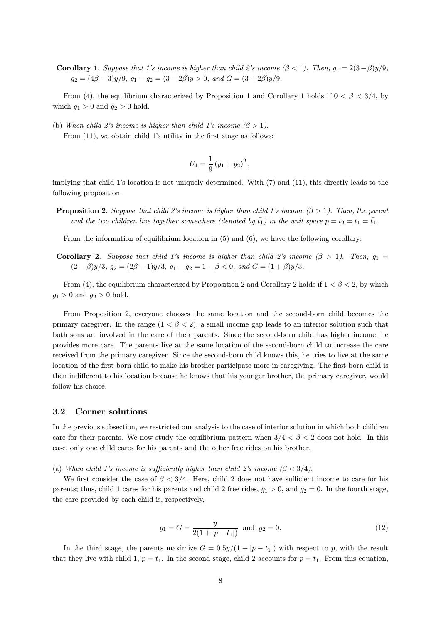**Corollary 1.** Suppose that 1's income is higher than child 2's income  $(\beta < 1)$ . Then,  $g_1 = 2(3-\beta)y/9$ ,  $q_2 = (4\beta - 3)y/9$ ,  $q_1 - q_2 = (3 - 2\beta)y > 0$ , and  $G = (3 + 2\beta)y/9$ .

From (4), the equilibrium characterized by Proposition 1 and Corollary 1 holds if  $0 < \beta < 3/4$ , by which  $g_1 > 0$  and  $g_2 > 0$  hold.

(b) When child 2's income is higher than child 1's income  $(\beta > 1)$ .

From  $(11)$ , we obtain child 1's utility in the first stage as follows:

$$
U_1 = \frac{1}{9} (y_1 + y_2)^2,
$$

implying that child 1's location is not uniquely determined. With (7) and (11), this directly leads to the following proposition.

**Proposition 2.** Suppose that child 2's income is higher than child 1's income  $(\beta > 1)$ . Then, the parent and the two children live together somewhere (denoted by  $\bar{t}_1$ ) in the unit space  $p = t_2 = t_1 = \bar{t}_1$ .

From the information of equilibrium location in (5) and (6), we have the following corollary:

Corollary 2. Suppose that child 1's income is higher than child 2's income  $(\beta > 1)$ . Then,  $g_1 =$  $(2 - \beta)y/3$ ,  $g_2 = (2\beta - 1)y/3$ ,  $g_1 - g_2 = 1 - \beta < 0$ , and  $G = (1 + \beta)y/3$ .

From (4), the equilibrium characterized by Proposition 2 and Corollary 2 holds if  $1 < \beta < 2$ , by which  $g_1 > 0$  and  $g_2 > 0$  hold.

From Proposition 2, everyone chooses the same location and the second-born child becomes the primary caregiver. In the range  $(1 < \beta < 2)$ , a small income gap leads to an interior solution such that both sons are involved in the care of their parents. Since the second-born child has higher income, he provides more care. The parents live at the same location of the second-born child to increase the care received from the primary caregiver. Since the second-born child knows this, he tries to live at the same location of the first-born child to make his brother participate more in caregiving. The first-born child is then indifferent to his location because he knows that his younger brother, the primary caregiver, would follow his choice.

#### 3.2 Corner solutions

In the previous subsection, we restricted our analysis to the case of interior solution in which both children care for their parents. We now study the equilibrium pattern when  $3/4 < \beta < 2$  does not hold. In this case, only one child cares for his parents and the other free rides on his brother.

(a) When child 1's income is sufficiently higher than child 2's income  $(\beta < 3/4)$ .

We first consider the case of  $\beta < 3/4$ . Here, child 2 does not have sufficient income to care for his parents; thus, child 1 cares for his parents and child 2 free rides,  $g_1 > 0$ , and  $g_2 = 0$ . In the fourth stage, the care provided by each child is, respectively,

$$
g_1 = G = \frac{y}{2(1+|p-t_1|)} \text{ and } g_2 = 0.
$$
 (12)

In the third stage, the parents maximize  $G = 0.5y/(1 + |p - t_1|)$  with respect to p, with the result that they live with child 1,  $p = t_1$ . In the second stage, child 2 accounts for  $p = t_1$ . From this equation,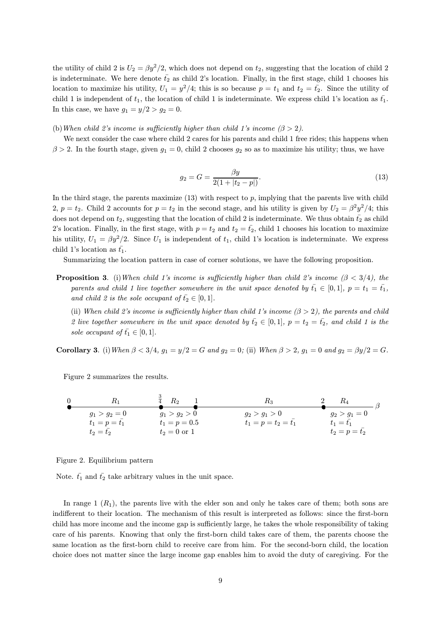the utility of child 2 is  $U_2 = \beta y^2/2$ , which does not depend on  $t_2$ , suggesting that the location of child 2 is indeterminate. We here denote  $\bar{t_2}$  as child 2's location. Finally, in the first stage, child 1 chooses his location to maximize his utility,  $U_1 = y^2/4$ ; this is so because  $p = t_1$  and  $t_2 = \bar{t_2}$ . Since the utility of child 1 is independent of  $t_1$ , the location of child 1 is indeterminate. We express child 1's location as  $\bar{t_1}$ . In this case, we have  $g_1 = y/2 > g_2 = 0$ .

(b) When child 2's income is sufficiently higher than child 1's income  $(\beta > 2)$ .

We next consider the case where child 2 cares for his parents and child 1 free rides; this happens when  $\beta > 2$ . In the fourth stage, given  $g_1 = 0$ , child 2 chooses  $g_2$  so as to maximize his utility; thus, we have

$$
g_2 = G = \frac{\beta y}{2(1 + |t_2 - p|)}.\tag{13}
$$

In the third stage, the parents maximize  $(13)$  with respect to p, implying that the parents live with child 2,  $p = t_2$ . Child 2 accounts for  $p = t_2$  in the second stage, and his utility is given by  $U_2 = \beta^2 y^2/4$ ; this does not depend on  $t_2$ , suggesting that the location of child 2 is indeterminate. We thus obtain  $\bar{t_2}$  as child 2's location. Finally, in the first stage, with  $p = t_2$  and  $t_2 = \bar{t}_2$ , child 1 chooses his location to maximize his utility,  $U_1 = \beta y^2/2$ . Since  $U_1$  is independent of  $t_1$ , child 1's location is indeterminate. We express child 1's location as  $\bar{t_1}$ .

Summarizing the location pattern in case of corner solutions, we have the following proposition.

**Proposition 3.** (i) When child 1's income is sufficiently higher than child 2's income  $(\beta < 3/4)$ , the parents and child 1 live together somewhere in the unit space denoted by  $\bar{t}_1 \in [0,1]$ ,  $p = t_1 = \bar{t}_1$ , and child 2 is the sole occupant of  $\bar{t}_2 \in [0,1]$ .

(ii) When child 2's income is sufficiently higher than child 1's income  $(\beta > 2)$ , the parents and child 2 live together somewhere in the unit space denoted by  $\bar{t_2} \in [0,1]$ ,  $p = t_2 = \bar{t_2}$ , and child 1 is the sole occupant of  $\bar{t}_1 \in [0,1]$ .

Corollary 3. (i) When  $\beta < 3/4$ ,  $g_1 = y/2 = G$  and  $g_2 = 0$ ; (ii) When  $\beta > 2$ ,  $g_1 = 0$  and  $g_2 = \beta y/2 = G$ .

Figure 2 summarizes the results.



Figure 2. Equilibrium pattern

Note.  $\bar{t_1}$  and  $\bar{t_2}$  take arbitrary values in the unit space.

In range  $1(R_1)$ , the parents live with the elder son and only he takes care of them; both sons are indifferent to their location. The mechanism of this result is interpreted as follows: since the first-born child has more income and the income gap is sufficiently large, he takes the whole responsibility of taking care of his parents. Knowing that only the first-born child takes care of them, the parents choose the same location as the first-born child to receive care from him. For the second-born child, the location choice does not matter since the large income gap enables him to avoid the duty of caregiving. For the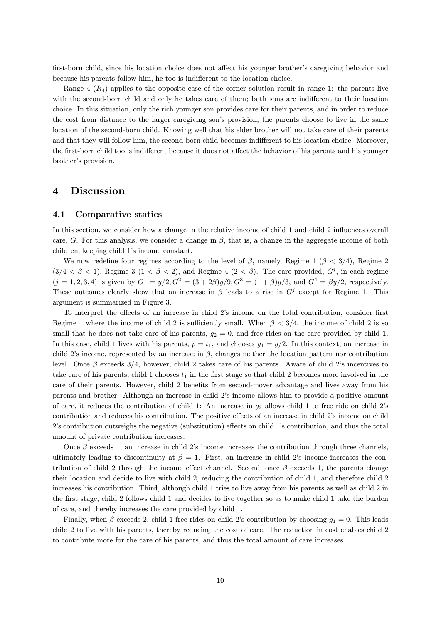first-born child, since his location choice does not affect his younger brother's caregiving behavior and because his parents follow him, he too is indifferent to the location choice.

Range  $4(R_4)$  applies to the opposite case of the corner solution result in range 1: the parents live with the second-born child and only he takes care of them; both sons are indifferent to their location choice. In this situation, only the rich younger son provides care for their parents, and in order to reduce the cost from distance to the larger caregiving son's provision, the parents choose to live in the same location of the second-born child. Knowing well that his elder brother will not take care of their parents and that they will follow him, the second-born child becomes indifferent to his location choice. Moreover, the first-born child too is indifferent because it does not affect the behavior of his parents and his younger brother's provision.

#### 4 Discussion

#### 4.1 Comparative statics

In this section, we consider how a change in the relative income of child 1 and child 2 influences overall care, G. For this analysis, we consider a change in  $\beta$ , that is, a change in the aggregate income of both children, keeping child 1's income constant.

We now redefine four regimes according to the level of  $\beta$ , namely, Regime 1 ( $\beta$  < 3/4), Regime 2  $(3/4 < \beta < 1)$ , Regime 3  $(1 < \beta < 2)$ , and Regime 4  $(2 < \beta)$ . The care provided,  $G<sup>j</sup>$ , in each regime  $(j = 1, 2, 3, 4)$  is given by  $G^1 = y/2$ ,  $G^2 = (3 + 2\beta)y/9$ ,  $G^3 = (1 + \beta)y/3$ , and  $G^4 = \beta y/2$ , respectively. These outcomes clearly show that an increase in  $\beta$  leads to a rise in  $G^j$  except for Regime 1. This argument is summarized in Figure 3.

To interpret the effects of an increase in child 2's income on the total contribution, consider first Regime 1 where the income of child 2 is sufficiently small. When  $\beta < 3/4$ , the income of child 2 is so small that he does not take care of his parents,  $g_2 = 0$ , and free rides on the care provided by child 1. In this case, child 1 lives with his parents,  $p = t_1$ , and chooses  $g_1 = y/2$ . In this context, an increase in child 2's income, represented by an increase in  $\beta$ , changes neither the location pattern nor contribution level. Once  $\beta$  exceeds 3/4, however, child 2 takes care of his parents. Aware of child 2's incentives to take care of his parents, child 1 chooses  $t_1$  in the first stage so that child 2 becomes more involved in the care of their parents. However, child 2 benefits from second-mover advantage and lives away from his parents and brother. Although an increase in child 2's income allows him to provide a positive amount of care, it reduces the contribution of child 1: An increase in  $g_2$  allows child 1 to free ride on child 2's contribution and reduces his contribution. The positive effects of an increase in child 2's income on child 2's contribution outweighs the negative (substitution) effects on child 1's contribution, and thus the total amount of private contribution increases.

Once  $\beta$  exceeds 1, an increase in child 2's income increases the contribution through three channels, ultimately leading to discontinuity at  $\beta = 1$ . First, an increase in child 2's income increases the contribution of child 2 through the income effect channel. Second, once  $\beta$  exceeds 1, the parents change their location and decide to live with child 2, reducing the contribution of child 1, and therefore child 2 increases his contribution. Third, although child 1 tries to live away from his parents as well as child 2 in the first stage, child 2 follows child 1 and decides to live together so as to make child 1 take the burden of care, and thereby increases the care provided by child 1.

Finally, when  $\beta$  exceeds 2, child 1 free rides on child 2's contribution by choosing  $q_1 = 0$ . This leads child 2 to live with his parents, thereby reducing the cost of care. The reduction in cost enables child 2 to contribute more for the care of his parents, and thus the total amount of care increases.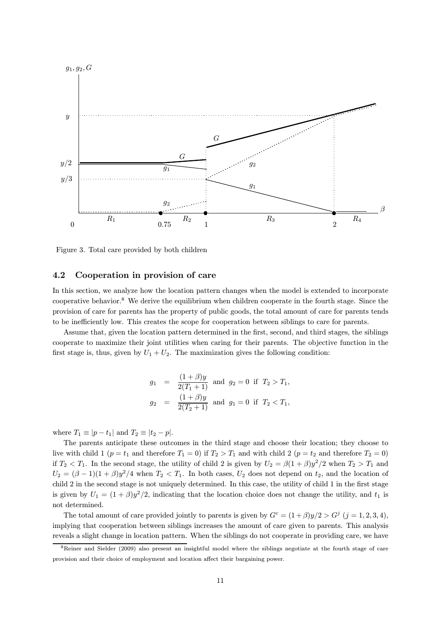

Figure 3. Total care provided by both children

#### 4.2 Cooperation in provision of care

In this section, we analyze how the location pattern changes when the model is extended to incorporate cooperative behavior. <sup>8</sup> We derive the equilibrium when children cooperate in the fourth stage. Since the provision of care for parents has the property of public goods, the total amount of care for parents tends to be inefficiently low. This creates the scope for cooperation between siblings to care for parents.

Assume that, given the location pattern determined in the first, second, and third stages, the siblings cooperate to maximize their joint utilities when caring for their parents. The objective function in the first stage is, thus, given by  $U_1 + U_2$ . The maximization gives the following condition:

$$
\begin{array}{rcl} g_1 & = & \displaystyle \frac{(1+\beta)y}{2(T_1+1)} \ \ \text{and} \ \ g_2 = 0 \ \ \text{if} \ \ T_2 > T_1, \\ g_2 & = & \displaystyle \frac{(1+\beta)y}{2(T_2+1)} \ \ \text{and} \ \ g_1 = 0 \ \ \text{if} \ \ T_2 < T_1, \end{array}
$$

where  $T_1 \equiv |p - t_1|$  and  $T_2 \equiv |t_2 - p|$ .

The parents anticipate these outcomes in the third stage and choose their location; they choose to live with child 1 ( $p = t_1$  and therefore  $T_1 = 0$ ) if  $T_2 > T_1$  and with child 2 ( $p = t_2$  and therefore  $T_2 = 0$ ) if  $T_2 < T_1$ . In the second stage, the utility of child 2 is given by  $U_2 = \beta(1+\beta)y^2/2$  when  $T_2 > T_1$  and  $U_2 = (\beta - 1)(1 + \beta)y^2/4$  when  $T_2 < T_1$ . In both cases,  $U_2$  does not depend on  $t_2$ , and the location of child 2 in the second stage is not uniquely determined. In this case, the utility of child 1 in the first stage is given by  $U_1 = (1 + \beta)y^2/2$ , indicating that the location choice does not change the utility, and  $t_1$  is not determined.

The total amount of care provided jointly to parents is given by  $G^c = (1+\beta)y/2 > G^j$   $(j = 1, 2, 3, 4)$ , implying that cooperation between siblings increases the amount of care given to parents. This analysis reveals a slight change in location pattern. When the siblings do not cooperate in providing care, we have

<sup>8</sup>Reiner and Sielder (2009) also present an insightful model where the siblings negotiate at the fourth stage of care provision and their choice of employment and location affect their bargaining power.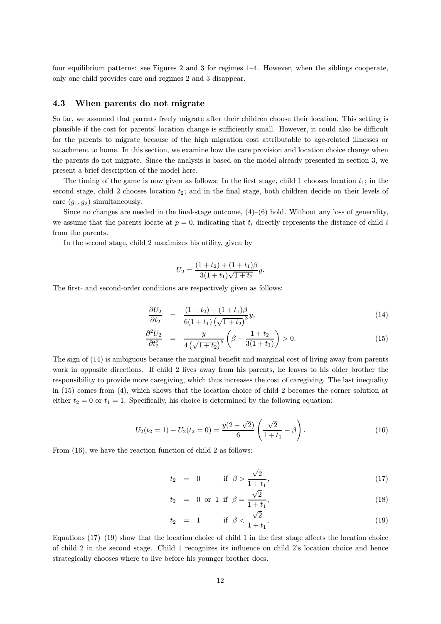four equilibrium patterns: see Figures 2 and 3 for regimes 1–4. However, when the siblings cooperate, only one child provides care and regimes 2 and 3 disappear.

#### 4.3 When parents do not migrate

So far, we assumed that parents freely migrate after their children choose their location. This setting is plausible if the cost for parents' location change is sufficiently small. However, it could also be difficult for the parents to migrate because of the high migration cost attributable to age-related illnesses or attachment to home. In this section, we examine how the care provision and location choice change when the parents do not migrate. Since the analysis is based on the model already presented in section 3, we present a brief description of the model here.

The timing of the game is now given as follows: In the first stage, child 1 chooses location  $t_1$ ; in the second stage, child 2 chooses location  $t_2$ ; and in the final stage, both children decide on their levels of care  $(g_1, g_2)$  simultaneously.

Since no changes are needed in the final-stage outcome,  $(4)-(6)$  hold. Without any loss of generality, we assume that the parents locate at  $p = 0$ , indicating that  $t_i$  directly represents the distance of child i from the parents.

In the second stage, child 2 maximizes his utility, given by

$$
U_2 = \frac{(1+t_2) + (1+t_1)\beta}{3(1+t_1)\sqrt{1+t_2}}y.
$$

The first- and second-order conditions are respectively given as follows:

$$
\frac{\partial U_2}{\partial t_2} = \frac{(1+t_2) - (1+t_1)\beta}{6(1+t_1)\left(\sqrt{1+t_2}\right)^3}y,\tag{14}
$$

$$
\frac{\partial^2 U_2}{\partial t_2^2} = \frac{y}{4\left(\sqrt{1+t_2}\right)^5} \left(\beta - \frac{1+t_2}{3(1+t_1)}\right) > 0. \tag{15}
$$

The sign of  $(14)$  is ambiguous because the marginal benefit and marginal cost of living away from parents work in opposite directions. If child 2 lives away from his parents, he leaves to his older brother the responsibility to provide more caregiving, which thus increases the cost of caregiving. The last inequality in (15) comes from (4), which shows that the location choice of child 2 becomes the corner solution at either  $t_2 = 0$  or  $t_1 = 1$ . Specifically, his choice is determined by the following equation:

$$
U_2(t_2 = 1) - U_2(t_2 = 0) = \frac{y(2 - \sqrt{2})}{6} \left( \frac{\sqrt{2}}{1 + t_1} - \beta \right).
$$
 (16)

From  $(16)$ , we have the reaction function of child 2 as follows:

$$
t_2 = 0
$$
 if  $\beta > \frac{\sqrt{2}}{1+t_1}$ , (17)

$$
t_2 = 0 \text{ or } 1 \text{ if } \beta = \frac{\sqrt{2}}{1+t_1},
$$
 (18)

$$
t_2 = 1
$$
 if  $\beta < \frac{\sqrt{2}}{1+t_1}$ . (19)

Equations  $(17)-(19)$  show that the location choice of child 1 in the first stage affects the location choice of child 2 in the second stage. Child 1 recognizes its influence on child 2's location choice and hence strategically chooses where to live before his younger brother does.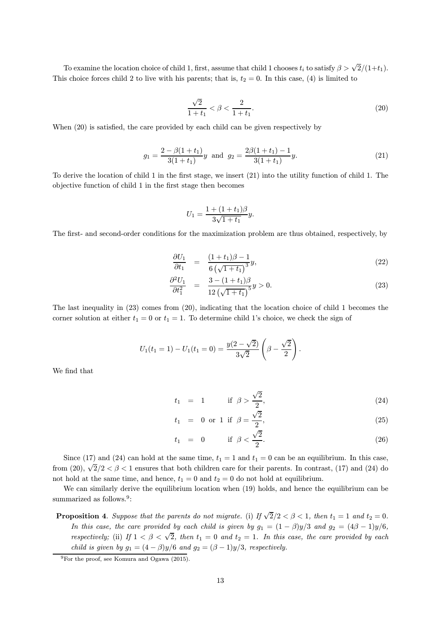To examine the location choice of child 1, first, assume that child 1 chooses  $t_i$  to satisfy  $\beta > \sqrt{2}/(1+t_1)$ . This choice forces child 2 to live with his parents; that is,  $t_2 = 0$ . In this case, (4) is limited to

$$
\frac{\sqrt{2}}{1+t_1} < \beta < \frac{2}{1+t_1}.\tag{20}
$$

When  $(20)$  is satisfied, the care provided by each child can be given respectively by

$$
g_1 = \frac{2 - \beta(1 + t_1)}{3(1 + t_1)}y \text{ and } g_2 = \frac{2\beta(1 + t_1) - 1}{3(1 + t_1)}y.
$$
 (21)

To derive the location of child 1 in the first stage, we insert  $(21)$  into the utility function of child 1. The objective function of child 1 in the first stage then becomes

$$
U_1 = \frac{1 + (1 + t_1)\beta}{3\sqrt{1 + t_1}}y.
$$

The first- and second-order conditions for the maximization problem are thus obtained, respectively, by

$$
\frac{\partial U_1}{\partial t_1} = \frac{(1+t_1)\beta - 1}{6\left(\sqrt{1+t_1}\right)^3} y,\tag{22}
$$

$$
\frac{\partial^2 U_1}{\partial t_1^2} = \frac{3 - (1 + t_1)\beta}{12\left(\sqrt{1 + t_1}\right)^5} y > 0.
$$
\n(23)

The last inequality in (23) comes from (20), indicating that the location choice of child 1 becomes the corner solution at either  $t_1 = 0$  or  $t_1 = 1$ . To determine child 1's choice, we check the sign of

$$
U_1(t_1 = 1) - U_1(t_1 = 0) = \frac{y(2 - \sqrt{2})}{3\sqrt{2}} \left(\beta - \frac{\sqrt{2}}{2}\right)
$$

We find that

$$
t_1 = 1
$$
 if  $\beta > \frac{\sqrt{2}}{2}$ , (24)

:

$$
t_1 = 0 \text{ or } 1 \text{ if } \beta = \frac{\sqrt{2}}{2},
$$
 (25)

$$
t_1 = 0 \quad \text{if } \beta < \frac{\sqrt{2}}{2}.
$$
 (26)

Since (17) and (24) can hold at the same time,  $t_1 = 1$  and  $t_1 = 0$  can be an equilibrium. In this case, from (20),  $\sqrt{2}/2 < \beta < 1$  ensures that both children care for their parents. In contrast, (17) and (24) do not hold at the same time, and hence,  $t_1 = 0$  and  $t_2 = 0$  do not hold at equilibrium.

We can similarly derive the equilibrium location when (19) holds, and hence the equilibrium can be summarized as follows.<sup>9</sup>:

**Proposition 4.** Suppose that the parents do not migrate. (i) If  $\sqrt{2}/2 < \beta < 1$ , then  $t_1 = 1$  and  $t_2 = 0$ . In this case, the care provided by each child is given by  $g_1 = (1 - \beta)y/3$  and  $g_2 = (4\beta - 1)y/6$ , respectively; (ii) If  $1 < \beta < \sqrt{2}$ , then  $t_1 = 0$  and  $t_2 = 1$ . In this case, the care provided by each child is given by  $g_1 = (4 - \beta)y/6$  and  $g_2 = (\beta - 1)y/3$ , respectively.

<sup>&</sup>lt;sup>9</sup>For the proof, see Komura and Ogawa (2015).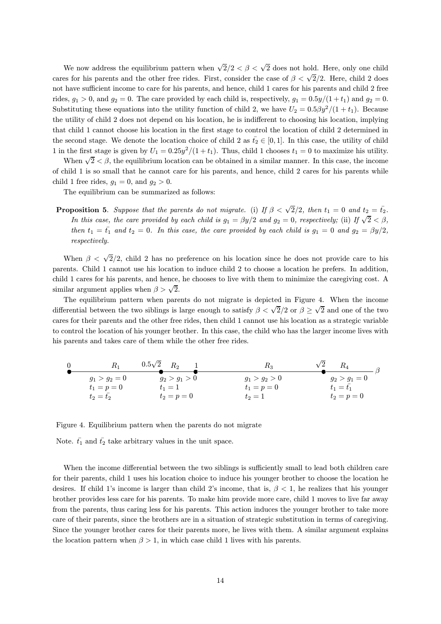We now address the equilibrium pattern when  $\sqrt{2}/2 < \beta < \sqrt{2}$  does not hold. Here, only one child cares for his parents and the other free rides. First, consider the case of  $\beta < \sqrt{2}/2$ . Here, child 2 does not have sufficient income to care for his parents, and hence, child 1 cares for his parents and child 2 free rides,  $g_1 > 0$ , and  $g_2 = 0$ . The care provided by each child is, respectively,  $g_1 = 0.5y/(1 + t_1)$  and  $g_2 = 0$ . Substituting these equations into the utility function of child 2, we have  $U_2 = 0.5\beta y^2/(1 + t_1)$ . Because the utility of child 2 does not depend on his location, he is indifferent to choosing his location, implying that child 1 cannot choose his location in the first stage to control the location of child 2 determined in the second stage. We denote the location choice of child 2 as  $\bar{t}_2 \in [0,1]$ . In this case, the utility of child 1 in the first stage is given by  $U_1 = 0.25y^2/(1 + t_1)$ . Thus, child 1 chooses  $t_1 = 0$  to maximize his utility.

When  $\sqrt{2} < \beta$ , the equilibrium location can be obtained in a similar manner. In this case, the income of child 1 is so small that he cannot care for his parents, and hence, child 2 cares for his parents while child 1 free rides,  $g_1 = 0$ , and  $g_2 > 0$ .

The equilibrium can be summarized as follows:

**Proposition 5.** Suppose that the parents do not migrate. (i) If  $\beta < \sqrt{2}/2$ , then  $t_1 = 0$  and  $t_2 = \bar{t_2}$ . In this case, the care provided by each child is  $g_1 = \beta y/2$  and  $g_2 = 0$ , respectively; (ii) If  $\sqrt{2} < \beta$ , then  $t_1 = \bar{t_1}$  and  $t_2 = 0$ . In this case, the care provided by each child is  $g_1 = 0$  and  $g_2 = \beta y/2$ , respectively.

When  $\beta < \sqrt{2}/2$ , child 2 has no preference on his location since he does not provide care to his parents. Child 1 cannot use his location to induce child 2 to choose a location he prefers. In addition, child 1 cares for his parents, and hence, he chooses to live with them to minimize the caregiving cost. A similar argument applies when  $\beta > \sqrt{2}$ .

The equilibrium pattern when parents do not migrate is depicted in Figure 4. When the income differential between the two siblings is large enough to satisfy  $\beta < \sqrt{2}/2$  or  $\beta \ge \sqrt{2}$  and one of the two cares for their parents and the other free rides, then child 1 cannot use his location as a strategic variable to control the location of his younger brother. In this case, the child who has the larger income lives with his parents and takes care of them while the other free rides.

| $R_1$           | $0.5\sqrt{2}$ $R_2$ | R2              | $\sqrt{2}$<br>$R_{\rm 4}$ |
|-----------------|---------------------|-----------------|---------------------------|
| $q_1 > q_2 = 0$ | $q_2 > q_1 > 0$     | $q_1 > q_2 > 0$ | $q_2 > q_1 = 0$           |
| $t_1 = p = 0$   | $t_1=1$             | $t_1 = p = 0$   | $t_1 = t_1$               |
| $t_2=t_2$       | $t_2 = p = 0$       | $t_2=1$         | $t_2 = p = 0$             |

Figure 4. Equilibrium pattern when the parents do not migrate

Note.  $\bar{t_1}$  and  $\bar{t_2}$  take arbitrary values in the unit space.

When the income differential between the two siblings is sufficiently small to lead both children care for their parents, child 1 uses his location choice to induce his younger brother to choose the location he desires. If child 1's income is larger than child 2's income, that is,  $\beta < 1$ , he realizes that his younger brother provides less care for his parents. To make him provide more care, child 1 moves to live far away from the parents, thus caring less for his parents. This action induces the younger brother to take more care of their parents, since the brothers are in a situation of strategic substitution in terms of caregiving. Since the younger brother cares for their parents more, he lives with them. A similar argument explains the location pattern when  $\beta > 1$ , in which case child 1 lives with his parents.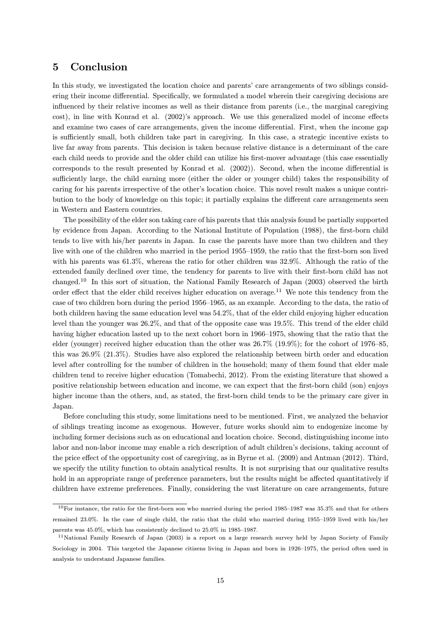## 5 Conclusion

In this study, we investigated the location choice and parents' care arrangements of two siblings considering their income differential. Specifically, we formulated a model wherein their caregiving decisions are influenced by their relative incomes as well as their distance from parents (i.e., the marginal caregiving cost), in line with Konrad et al. (2002)'s approach. We use this generalized model of income effects and examine two cases of care arrangements, given the income differential. First, when the income gap is sufficiently small, both children take part in caregiving. In this case, a strategic incentive exists to live far away from parents. This decision is taken because relative distance is a determinant of the care each child needs to provide and the older child can utilize his first-mover advantage (this case essentially corresponds to the result presented by Konrad et al. (2002)). Second, when the income differential is sufficiently large, the child earning more (either the older or younger child) takes the responsibility of caring for his parents irrespective of the other's location choice. This novel result makes a unique contribution to the body of knowledge on this topic; it partially explains the different care arrangements seen in Western and Eastern countries.

The possibility of the elder son taking care of his parents that this analysis found be partially supported by evidence from Japan. According to the National Institute of Population (1988), the first-born child tends to live with his/her parents in Japan. In case the parents have more than two children and they live with one of the children who married in the period 1955–1959, the ratio that the first-born son lived with his parents was 61.3%, whereas the ratio for other children was 32.9%. Although the ratio of the extended family declined over time, the tendency for parents to live with their first-born child has not changed. <sup>10</sup> In this sort of situation, the National Family Research of Japan (2003) observed the birth order effect that the elder child receives higher education on average.<sup>11</sup> We note this tendency from the case of two children born during the period 1956–1965, as an example. According to the data, the ratio of both children having the same education level was 54.2%, that of the elder child enjoying higher education level than the younger was 26.2%, and that of the opposite case was 19.5%. This trend of the elder child having higher education lasted up to the next cohort born in 1966–1975, showing that the ratio that the elder (younger) received higher education than the other was  $26.7\%$  (19.9%); for the cohort of 1976–85, this was 26.9% (21.3%). Studies have also explored the relationship between birth order and education level after controlling for the number of children in the household; many of them found that elder male children tend to receive higher education (Tomabechi, 2012). From the existing literature that showed a positive relationship between education and income, we can expect that the first-born child (son) enjoys higher income than the others, and, as stated, the first-born child tends to be the primary care giver in Japan.

Before concluding this study, some limitations need to be mentioned. First, we analyzed the behavior of siblings treating income as exogenous. However, future works should aim to endogenize income by including former decisions such as on educational and location choice. Second, distinguishing income into labor and non-labor income may enable a rich description of adult children's decisions, taking account of the price effect of the opportunity cost of caregiving, as in Byrne et al. (2009) and Antman (2012). Third, we specify the utility function to obtain analytical results. It is not surprising that our qualitative results hold in an appropriate range of preference parameters, but the results might be affected quantitatively if children have extreme preferences. Finally, considering the vast literature on care arrangements, future

 $10$ For instance, the ratio for the first-born son who married during the period 1985-1987 was 35.3% and that for others remained 23.0%. In the case of single child, the ratio that the child who married during 1955-1959 lived with his/her parents was  $45.0\%$ , which has consistently declined to  $25.0\%$  in 1985-1987.

<sup>&</sup>lt;sup>11</sup>National Family Research of Japan (2003) is a report on a large research survey held by Japan Society of Family Sociology in 2004. This targeted the Japanese citizens living in Japan and born in 1926-1975, the period often used in analysis to understand Japanese families.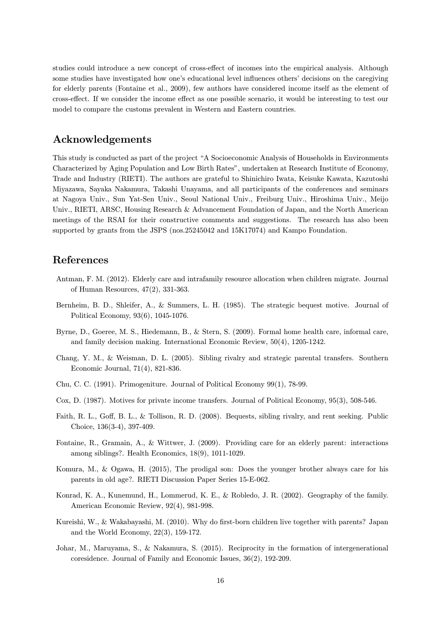studies could introduce a new concept of cross-effect of incomes into the empirical analysis. Although some studies have investigated how one's educational level influences others' decisions on the caregiving for elderly parents (Fontaine et al., 2009), few authors have considered income itself as the element of cross-effect. If we consider the income effect as one possible scenario, it would be interesting to test our model to compare the customs prevalent in Western and Eastern countries.

## Acknowledgements

This study is conducted as part of the project "A Socioeconomic Analysis of Households in Environments Characterized by Aging Population and Low Birth Rates", undertaken at Research Institute of Economy, Trade and Industry (RIETI). The authors are grateful to Shinichiro Iwata, Keisuke Kawata, Kazutoshi Miyazawa, Sayaka Nakamura, Takashi Unayama, and all participants of the conferences and seminars at Nagoya Univ., Sun Yat-Sen Univ., Seoul National Univ., Freiburg Univ., Hiroshima Univ., Meijo Univ., RIETI, ARSC, Housing Research & Advancement Foundation of Japan, and the North American meetings of the RSAI for their constructive comments and suggestions. The research has also been supported by grants from the JSPS (nos.25245042 and 15K17074) and Kampo Foundation.

# References

- Antman, F. M. (2012). Elderly care and intrafamily resource allocation when children migrate. Journal of Human Resources, 47(2), 331-363.
- Bernheim, B. D., Shleifer, A., & Summers, L. H. (1985). The strategic bequest motive. Journal of Political Economy, 93(6), 1045-1076.
- Byrne, D., Goeree, M. S., Hiedemann, B., & Stern, S. (2009). Formal home health care, informal care, and family decision making. International Economic Review, 50(4), 1205-1242.
- Chang, Y. M., & Weisman, D. L. (2005). Sibling rivalry and strategic parental transfers. Southern Economic Journal, 71(4), 821-836.
- Chu, C. C. (1991). Primogeniture. Journal of Political Economy 99(1), 78-99.
- Cox, D. (1987). Motives for private income transfers. Journal of Political Economy, 95(3), 508-546.
- Faith, R. L., Goff, B. L., & Tollison, R. D. (2008). Bequests, sibling rivalry, and rent seeking. Public Choice, 136(3-4), 397-409.
- Fontaine, R., Gramain, A., & Wittwer, J. (2009). Providing care for an elderly parent: interactions among siblings?. Health Economics, 18(9), 1011-1029.
- Komura, M., & Ogawa, H. (2015), The prodigal son: Does the younger brother always care for his parents in old age?. RIETI Discussion Paper Series 15-E-062.
- Konrad, K. A., Kunemund, H., Lommerud, K. E., & Robledo, J. R. (2002). Geography of the family. American Economic Review, 92(4), 981-998.
- Kureishi, W., & Wakabayashi, M. (2010). Why do first-born children live together with parents? Japan and the World Economy, 22(3), 159-172.
- Johar, M., Maruyama, S., & Nakamura, S. (2015). Reciprocity in the formation of intergenerational coresidence. Journal of Family and Economic Issues, 36(2), 192-209.